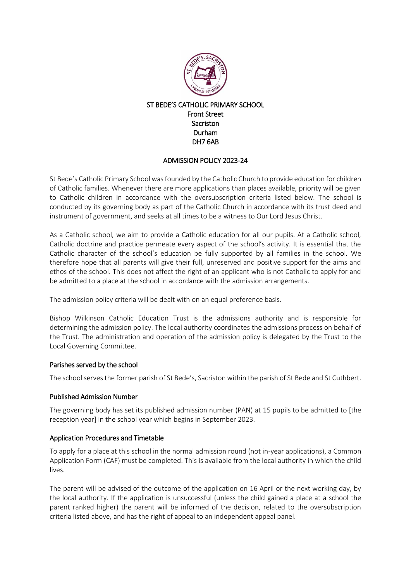

# ST BEDE'S CATHOLIC PRIMARY SCHOOL Front Street **Sacriston** Durham DH7 6AB

# ADMISSION POLICY 2023-24

St Bede's Catholic Primary School was founded by the Catholic Church to provide education for children of Catholic families. Whenever there are more applications than places available, priority will be given to Catholic children in accordance with the oversubscription criteria listed below. The school is conducted by its governing body as part of the Catholic Church in accordance with its trust deed and instrument of government, and seeks at all times to be a witness to Our Lord Jesus Christ.

As a Catholic school, we aim to provide a Catholic education for all our pupils. At a Catholic school, Catholic doctrine and practice permeate every aspect of the school's activity. It is essential that the Catholic character of the school's education be fully supported by all families in the school. We therefore hope that all parents will give their full, unreserved and positive support for the aims and ethos of the school. This does not affect the right of an applicant who is not Catholic to apply for and be admitted to a place at the school in accordance with the admission arrangements.

The admission policy criteria will be dealt with on an equal preference basis.

Bishop Wilkinson Catholic Education Trust is the admissions authority and is responsible for determining the admission policy. The local authority coordinates the admissions process on behalf of the Trust. The administration and operation of the admission policy is delegated by the Trust to the Local Governing Committee.

### Parishes served by the school

The school serves the former parish of St Bede's, Sacriston within the parish of St Bede and St Cuthbert.

### Published Admission Number

The governing body has set its published admission number (PAN) at 15 pupils to be admitted to [the reception year] in the school year which begins in September 2023.

### Application Procedures and Timetable

To apply for a place at this school in the normal admission round (not in-year applications), a Common Application Form (CAF) must be completed. This is available from the local authority in which the child lives.

The parent will be advised of the outcome of the application on 16 April or the next working day, by the local authority. If the application is unsuccessful (unless the child gained a place at a school the parent ranked higher) the parent will be informed of the decision, related to the oversubscription criteria listed above, and has the right of appeal to an independent appeal panel.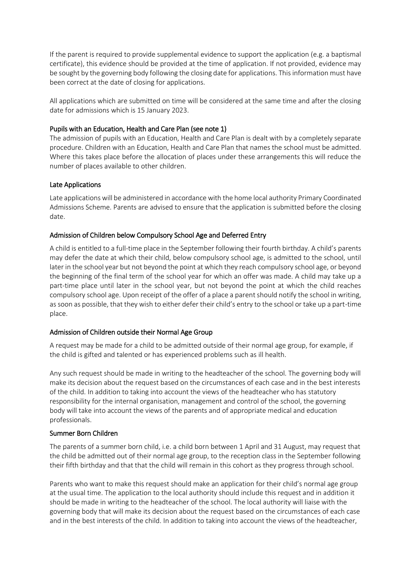If the parent is required to provide supplemental evidence to support the application (e.g. a baptismal certificate), this evidence should be provided at the time of application. If not provided, evidence may be sought by the governing body following the closing date for applications. This information must have been correct at the date of closing for applications.

All applications which are submitted on time will be considered at the same time and after the closing date for admissions which is 15 January 2023.

### Pupils with an Education, Health and Care Plan (see note 1)

The admission of pupils with an Education, Health and Care Plan is dealt with by a completely separate procedure. Children with an Education, Health and Care Plan that names the school must be admitted. Where this takes place before the allocation of places under these arrangements this will reduce the number of places available to other children.

### Late Applications

Late applications will be administered in accordance with the home local authority Primary Coordinated Admissions Scheme. Parents are advised to ensure that the application is submitted before the closing date.

## Admission of Children below Compulsory School Age and Deferred Entry

A child is entitled to a full-time place in the September following their fourth birthday. A child's parents may defer the date at which their child, below compulsory school age, is admitted to the school, until later in the school year but not beyond the point at which they reach compulsory school age, or beyond the beginning of the final term of the school year for which an offer was made. A child may take up a part-time place until later in the school year, but not beyond the point at which the child reaches compulsory school age. Upon receipt of the offer of a place a parent should notify the school in writing, as soon as possible, that they wish to either defer their child's entry to the school or take up a part-time place.

### Admission of Children outside their Normal Age Group

A request may be made for a child to be admitted outside of their normal age group, for example, if the child is gifted and talented or has experienced problems such as ill health.

Any such request should be made in writing to the headteacher of the school. The governing body will make its decision about the request based on the circumstances of each case and in the best interests of the child. In addition to taking into account the views of the headteacher who has statutory responsibility for the internal organisation, management and control of the school, the governing body will take into account the views of the parents and of appropriate medical and education professionals.

### Summer Born Children

The parents of a summer born child, i.e. a child born between 1 April and 31 August, may request that the child be admitted out of their normal age group, to the reception class in the September following their fifth birthday and that that the child will remain in this cohort as they progress through school.

Parents who want to make this request should make an application for their child's normal age group at the usual time. The application to the local authority should include this request and in addition it should be made in writing to the headteacher of the school. The local authority will liaise with the governing body that will make its decision about the request based on the circumstances of each case and in the best interests of the child. In addition to taking into account the views of the headteacher,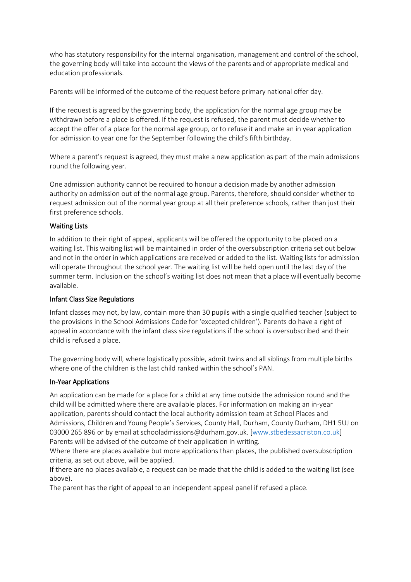who has statutory responsibility for the internal organisation, management and control of the school, the governing body will take into account the views of the parents and of appropriate medical and education professionals.

Parents will be informed of the outcome of the request before primary national offer day.

If the request is agreed by the governing body, the application for the normal age group may be withdrawn before a place is offered. If the request is refused, the parent must decide whether to accept the offer of a place for the normal age group, or to refuse it and make an in year application for admission to year one for the September following the child's fifth birthday.

Where a parent's request is agreed, they must make a new application as part of the main admissions round the following year.

One admission authority cannot be required to honour a decision made by another admission authority on admission out of the normal age group. Parents, therefore, should consider whether to request admission out of the normal year group at all their preference schools, rather than just their first preference schools.

## Waiting Lists

In addition to their right of appeal, applicants will be offered the opportunity to be placed on a waiting list. This waiting list will be maintained in order of the oversubscription criteria set out below and not in the order in which applications are received or added to the list. Waiting lists for admission will operate throughout the school year. The waiting list will be held open until the last day of the summer term. Inclusion on the school's waiting list does not mean that a place will eventually become available.

# Infant Class Size Regulations

Infant classes may not, by law, contain more than 30 pupils with a single qualified teacher (subject to the provisions in the School Admissions Code for 'excepted children'). Parents do have a right of appeal in accordance with the infant class size regulations if the school is oversubscribed and their child is refused a place.

The governing body will, where logistically possible, admit twins and all siblings from multiple births where one of the children is the last child ranked within the school's PAN.

### In-Year Applications

An application can be made for a place for a child at any time outside the admission round and the child will be admitted where there are available places. For information on making an in-year application, parents should contact the local authority admission team at School Places and Admissions, Children and Young People's Services, County Hall, Durham, County Durham, DH1 5UJ on 03000 265 896 or by email at schooladmissions@durham.gov.uk. [\[www.stbedessacriston.co.uk\]](http://www.stbedessacriston.co.uk/) Parents will be advised of the outcome of their application in writing.

Where there are places available but more applications than places, the published oversubscription criteria, as set out above, will be applied.

If there are no places available, a request can be made that the child is added to the waiting list (see above).

The parent has the right of appeal to an independent appeal panel if refused a place.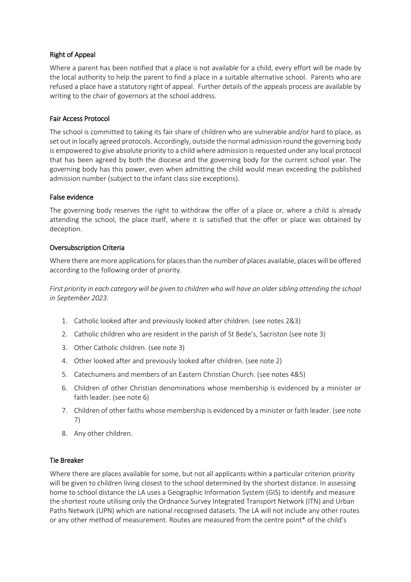# Right of Appeal

Where a parent has been notified that a place is not available for a child, every effort will be made by the local authority to help the parent to find a place in a suitable alternative school. Parents who are refused a place have a statutory right of appeal. Further details of the appeals process are available by writing to the chair of governors at the school address.

## Fair Access Protocol

The school is committed to taking its fair share of children who are vulnerable and/or hard to place, as set out in locally agreed protocols. Accordingly, outside the normal admission round the governing body is empowered to give absolute priority to a child where admission is requested under any local protocol that has been agreed by both the diocese and the governing body for the current school year. The governing body has this power, even when admitting the child would mean exceeding the published admission number (subject to the infant class size exceptions).

## False evidence

The governing body reserves the right to withdraw the offer of a place or, where a child is already attending the school, the place itself, where it is satisfied that the offer or place was obtained by deception.

## Oversubscription Criteria

Where there are more applications for places than the number of places available, places will be offered according to the following order of priority.

*First priority in each category will be given to children who will have an older sibling attending the school in September 2023.*

- 1. Catholic looked after and previously looked after children. (see notes 2&3)
- 2. Catholic children who are resident in the parish of St Bede's, Sacriston (see note 3)
- 3. Other Catholic children. (see note 3)
- 4. Other looked after and previously looked after children. (see note 2)
- 5. Catechumens and members of an Eastern Christian Church. (see notes 4&5)
- 6. Children of other Christian denominations whose membership is evidenced by a minister or faith leader. (see note 6)
- 7. Children of other faiths whose membership is evidenced by a minister or faith leader. (see note 7)
- 8. Any other children.

### Tie Breaker

Where there are places available for some, but not all applicants within a particular criterion priority will be given to children living closest to the school determined by the shortest distance. In assessing home to school distance the LA uses a Geographic Information System (GIS) to identify and measure the shortest route utilising only the Ordnance Survey Integrated Transport Network (ITN) and Urban Paths Network (UPN) which are national recognised datasets. The LA will not include any other routes or any other method of measurement. Routes are measured from the centre point\* of the child's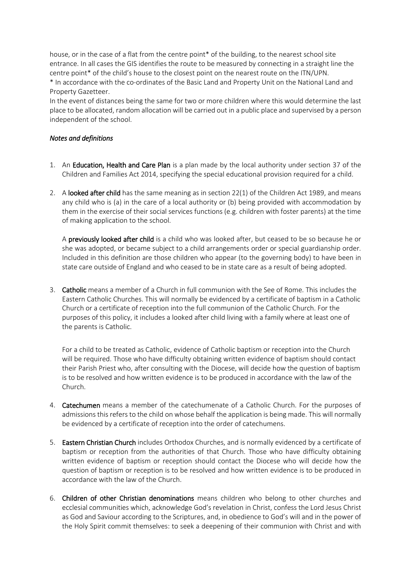house, or in the case of a flat from the centre point\* of the building, to the nearest school site entrance. In all cases the GIS identifies the route to be measured by connecting in a straight line the centre point\* of the child's house to the closest point on the nearest route on the ITN/UPN. \* In accordance with the co-ordinates of the Basic Land and Property Unit on the National Land and Property Gazetteer.

In the event of distances being the same for two or more children where this would determine the last place to be allocated, random allocation will be carried out in a public place and supervised by a person independent of the school.

# *Notes and definitions*

- 1. An Education, Health and Care Plan is a plan made by the local authority under section 37 of the Children and Families Act 2014, specifying the special educational provision required for a child.
- 2. A looked after child has the same meaning as in section 22(1) of the Children Act 1989, and means any child who is (a) in the care of a local authority or (b) being provided with accommodation by them in the exercise of their social services functions (e.g. children with foster parents) at the time of making application to the school.

A previously looked after child is a child who was looked after, but ceased to be so because he or she was adopted, or became subject to a child arrangements order or special guardianship order. Included in this definition are those children who appear (to the governing body) to have been in state care outside of England and who ceased to be in state care as a result of being adopted.

3. Catholic means a member of a Church in full communion with the See of Rome. This includes the Eastern Catholic Churches. This will normally be evidenced by a certificate of baptism in a Catholic Church or a certificate of reception into the full communion of the Catholic Church. For the purposes of this policy, it includes a looked after child living with a family where at least one of the parents is Catholic.

For a child to be treated as Catholic, evidence of Catholic baptism or reception into the Church will be required. Those who have difficulty obtaining written evidence of baptism should contact their Parish Priest who, after consulting with the Diocese, will decide how the question of baptism is to be resolved and how written evidence is to be produced in accordance with the law of the Church.

- 4. Catechumen means a member of the catechumenate of a Catholic Church. For the purposes of admissions this refers to the child on whose behalf the application is being made. This will normally be evidenced by a certificate of reception into the order of catechumens.
- 5. Eastern Christian Church includes Orthodox Churches, and is normally evidenced by a certificate of baptism or reception from the authorities of that Church. Those who have difficulty obtaining written evidence of baptism or reception should contact the Diocese who will decide how the question of baptism or reception is to be resolved and how written evidence is to be produced in accordance with the law of the Church.
- 6. Children of other Christian denominations means children who belong to other churches and ecclesial communities which, acknowledge God's revelation in Christ, confess the Lord Jesus Christ as God and Saviour according to the Scriptures, and, in obedience to God's will and in the power of the Holy Spirit commit themselves: to seek a deepening of their communion with Christ and with